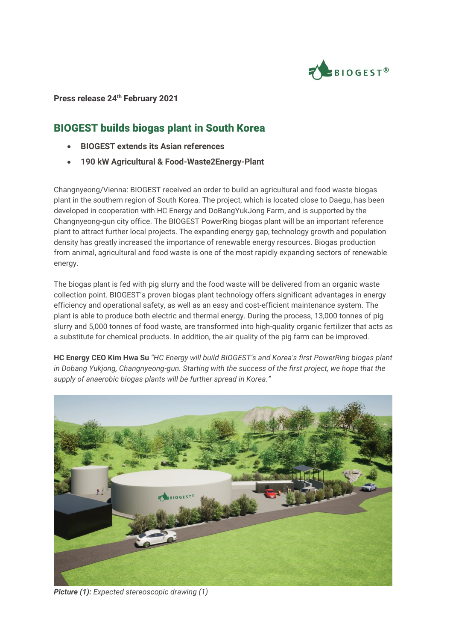

## **Press release 24th February 2021**

## BIOGEST builds biogas plant in South Korea

- **BIOGEST extends its Asian references**
- **190 kW Agricultural & Food-Waste2Energy-Plant**

Changnyeong/Vienna: BIOGEST received an order to build an agricultural and food waste biogas plant in the southern region of South Korea. The project, which is located close to Daegu, has been developed in cooperation with HC Energy and DoBangYukJong Farm, and is supported by the Changnyeong-gun city office. The BIOGEST PowerRing biogas plant will be an important reference plant to attract further local projects. The expanding energy gap, technology growth and population density has greatly increased the importance of renewable energy resources. Biogas production from animal, agricultural and food waste is one of the most rapidly expanding sectors of renewable energy.

The biogas plant is fed with pig slurry and the food waste will be delivered from an organic waste collection point. BIOGEST's proven biogas plant technology offers significant advantages in energy efficiency and operational safety, as well as an easy and cost-efficient maintenance system. The plant is able to produce both electric and thermal energy. During the process, 13,000 tonnes of pig slurry and 5,000 tonnes of food waste, are transformed into high-quality organic fertilizer that acts as a substitute for chemical products. In addition, the air quality of the pig farm can be improved.

**HC Energy CEO Kim Hwa Su** *"HC Energy will build BIOGEST's and Korea's first PowerRing biogas plant in Dobang Yukjong, Changnyeong-gun. Starting with the success of the first project, we hope that the supply of anaerobic biogas plants will be further spread in Korea."*



*Picture (1): Expected stereoscopic drawing (1)*